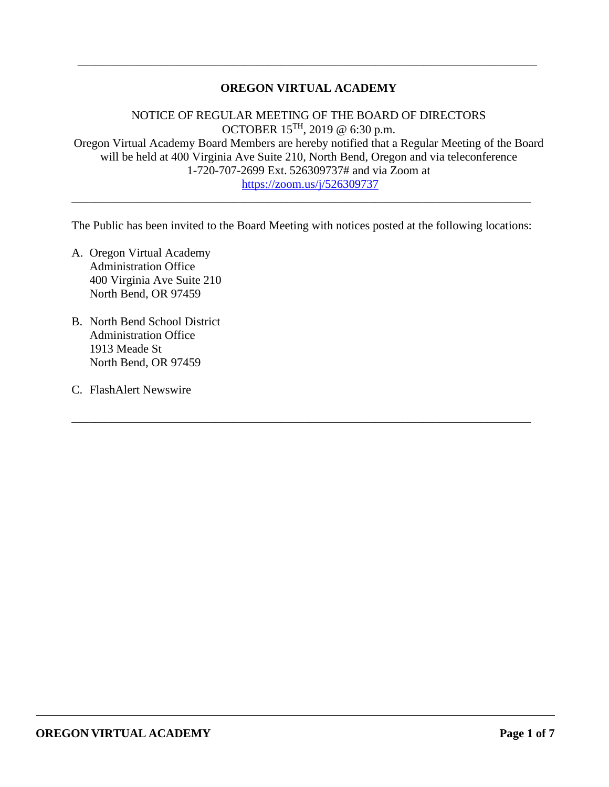# **OREGON VIRTUAL ACADEMY**

\_\_\_\_\_\_\_\_\_\_\_\_\_\_\_\_\_\_\_\_\_\_\_\_\_\_\_\_\_\_\_\_\_\_\_\_\_\_\_\_\_\_\_\_\_\_\_\_\_\_\_\_\_\_\_\_\_\_\_\_\_\_\_\_\_\_\_\_\_\_\_\_\_\_\_\_\_

NOTICE OF REGULAR MEETING OF THE BOARD OF DIRECTORS OCTOBER 15TH, 2019 $\textcircled{e}$ 6:30 p.m. Oregon Virtual Academy Board Members are hereby notified that a Regular Meeting of the Board will be held at 400 Virginia Ave Suite 210, North Bend, Oregon and via teleconference 1-720-707-2699 Ext. 526309737# and via Zoom at <https://zoom.us/j/526309737>

The Public has been invited to the Board Meeting with notices posted at the following locations:

\_\_\_\_\_\_\_\_\_\_\_\_\_\_\_\_\_\_\_\_\_\_\_\_\_\_\_\_\_\_\_\_\_\_\_\_\_\_\_\_\_\_\_\_\_\_\_\_\_\_\_\_\_\_\_\_\_\_\_\_\_\_\_\_\_\_\_\_\_\_\_\_\_\_\_\_\_

\_\_\_\_\_\_\_\_\_\_\_\_\_\_\_\_\_\_\_\_\_\_\_\_\_\_\_\_\_\_\_\_\_\_\_\_\_\_\_\_\_\_\_\_\_\_\_\_\_\_\_\_\_\_\_\_\_\_\_\_\_\_\_\_\_\_\_\_\_\_\_\_\_\_\_\_\_

- A. Oregon Virtual Academy Administration Office 400 Virginia Ave Suite 210 North Bend, OR 97459
- B. North Bend School District Administration Office 1913 Meade St North Bend, OR 97459
- C. FlashAlert Newswire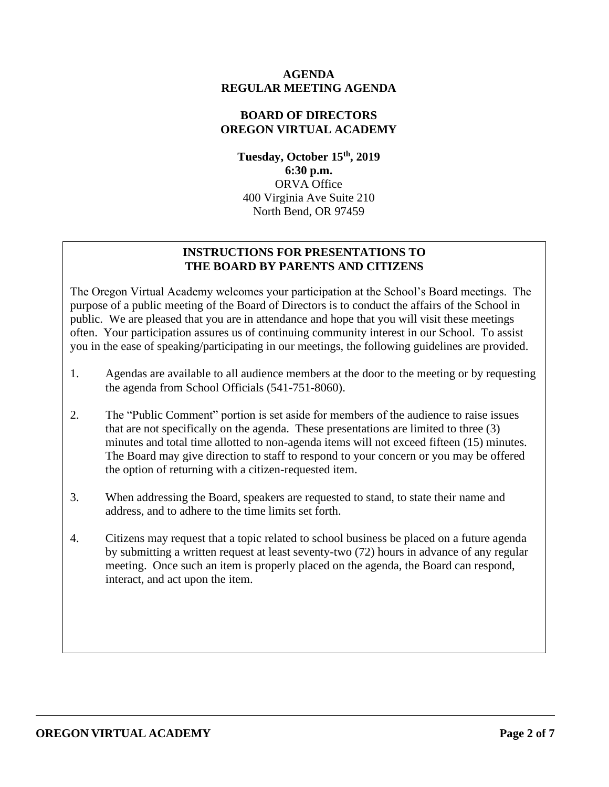## **AGENDA REGULAR MEETING AGENDA**

## **BOARD OF DIRECTORS OREGON VIRTUAL ACADEMY**

**Tuesday, October 15th, 2019 6:30 p.m.** ORVA Office 400 Virginia Ave Suite 210 North Bend, OR 97459

# **INSTRUCTIONS FOR PRESENTATIONS TO THE BOARD BY PARENTS AND CITIZENS**

The Oregon Virtual Academy welcomes your participation at the School's Board meetings. The purpose of a public meeting of the Board of Directors is to conduct the affairs of the School in public. We are pleased that you are in attendance and hope that you will visit these meetings often. Your participation assures us of continuing community interest in our School. To assist you in the ease of speaking/participating in our meetings, the following guidelines are provided.

- 1. Agendas are available to all audience members at the door to the meeting or by requesting the agenda from School Officials (541-751-8060).
- 2. The "Public Comment" portion is set aside for members of the audience to raise issues that are not specifically on the agenda. These presentations are limited to three (3) minutes and total time allotted to non-agenda items will not exceed fifteen (15) minutes. The Board may give direction to staff to respond to your concern or you may be offered the option of returning with a citizen-requested item.
- 3. When addressing the Board, speakers are requested to stand, to state their name and address, and to adhere to the time limits set forth.
- 4. Citizens may request that a topic related to school business be placed on a future agenda by submitting a written request at least seventy-two (72) hours in advance of any regular meeting. Once such an item is properly placed on the agenda, the Board can respond, interact, and act upon the item.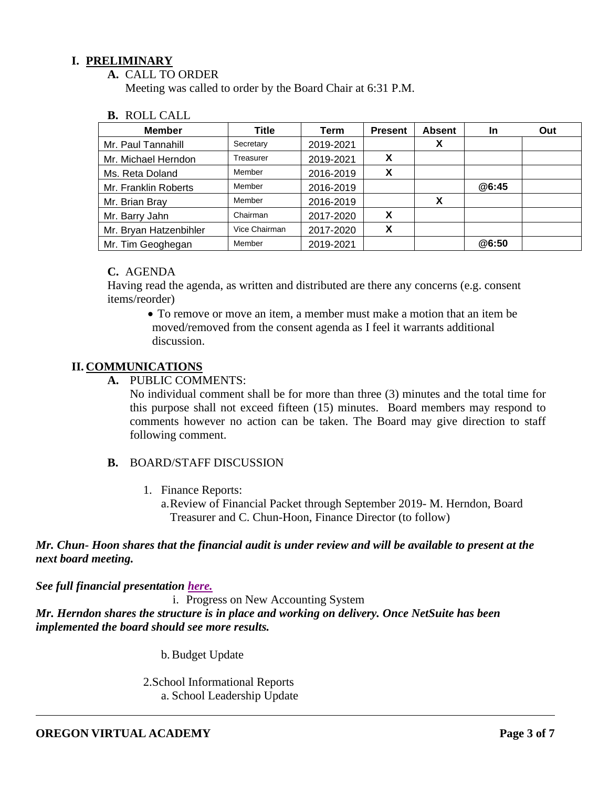## **I. PRELIMINARY**

**A.** CALL TO ORDER

Meeting was called to order by the Board Chair at 6:31 P.M.

|  | <b>B.</b> ROLL CALL |  |
|--|---------------------|--|
|--|---------------------|--|

| <b>Member</b>          | Title         | Term      | <b>Present</b> | <b>Absent</b> | <u>In</u> | Out |
|------------------------|---------------|-----------|----------------|---------------|-----------|-----|
| Mr. Paul Tannahill     | Secretary     | 2019-2021 |                | Х             |           |     |
| Mr. Michael Herndon    | Treasurer     | 2019-2021 | X              |               |           |     |
| Ms. Reta Doland        | Member        | 2016-2019 | X              |               |           |     |
| Mr. Franklin Roberts   | Member        | 2016-2019 |                |               | @6:45     |     |
| Mr. Brian Bray         | Member        | 2016-2019 |                | X             |           |     |
| Mr. Barry Jahn         | Chairman      | 2017-2020 | X              |               |           |     |
| Mr. Bryan Hatzenbihler | Vice Chairman | 2017-2020 | X              |               |           |     |
| Mr. Tim Geoghegan      | Member        | 2019-2021 |                |               | @6:50     |     |

#### **C.** AGENDA

Having read the agenda, as written and distributed are there any concerns (e.g. consent items/reorder)

• To remove or move an item, a member must make a motion that an item be moved/removed from the consent agenda as I feel it warrants additional discussion.

## **II. COMMUNICATIONS**

**A.** PUBLIC COMMENTS:

No individual comment shall be for more than three (3) minutes and the total time for this purpose shall not exceed fifteen (15) minutes. Board members may respond to comments however no action can be taken. The Board may give direction to staff following comment.

### **B.** BOARD/STAFF DISCUSSION

1. Finance Reports:

a.Review of Financial Packet through September 2019- M. Herndon, Board Treasurer and C. Chun-Hoon, Finance Director (to follow)

## *Mr. Chun- Hoon shares that the financial audit is under review and will be available to present at the next board meeting.*

*See full financial presentation [here.](https://k12inc-my.sharepoint.com/:p:/g/personal/mecaldwell_oregonva_org/EboX2NWViPBDvwVoEauz-aoB_qjsnkIhR7Onk8kNIMPl1w?e=pqjPAb)*

i. Progress on New Accounting System *Mr. Herndon shares the structure is in place and working on delivery. Once NetSuite has been implemented the board should see more results.* 

b.Budget Update

2.School Informational Reports a. School Leadership Update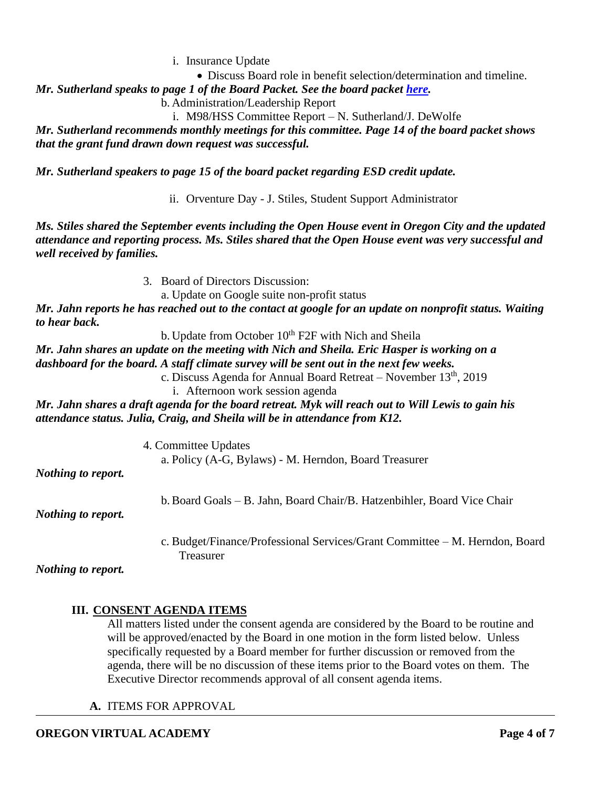i. Insurance Update

• Discuss Board role in benefit selection/determination and timeline.

*Mr. Sutherland speaks to page 1 of the Board Packet. See the board packet [here.](https://k12inc-my.sharepoint.com/:b:/g/personal/mecaldwell_oregonva_org/EZbD4CfSHpJBmTRBubwRQAcBZerxUhCd6XveHBl0MfGNnw?e=Hr87QY)* 

b. Administration/Leadership Report

i. M98/HSS Committee Report – N. Sutherland/J. DeWolfe

*Mr. Sutherland recommends monthly meetings for this committee. Page 14 of the board packet shows that the grant fund drawn down request was successful.* 

*Mr. Sutherland speakers to page 15 of the board packet regarding ESD credit update.* 

ii. Orventure Day - J. Stiles, Student Support Administrator

*Ms. Stiles shared the September events including the Open House event in Oregon City and the updated attendance and reporting process. Ms. Stiles shared that the Open House event was very successful and well received by families.* 

3. Board of Directors Discussion:

a. Update on Google suite non-profit status

*Mr. Jahn reports he has reached out to the contact at google for an update on nonprofit status. Waiting to hear back.* 

b. Update from October  $10^{th}$  F2F with Nich and Sheila

*Mr. Jahn shares an update on the meeting with Nich and Sheila. Eric Hasper is working on a dashboard for the board. A staff climate survey will be sent out in the next few weeks.* 

c. Discuss Agenda for Annual Board Retreat – November  $13<sup>th</sup>$ , 2019

i. Afternoon work session agenda

*Mr. Jahn shares a draft agenda for the board retreat. Myk will reach out to Will Lewis to gain his attendance status. Julia, Craig, and Sheila will be in attendance from K12.* 

> 4. Committee Updates a. Policy (A-G, Bylaws) - M. Herndon, Board Treasurer

*Nothing to report.*

b.Board Goals – B. Jahn, Board Chair/B. Hatzenbihler, Board Vice Chair

*Nothing to report.*

c. Budget/Finance/Professional Services/Grant Committee – M. Herndon, Board Treasurer

*Nothing to report.*

# **III. CONSENT AGENDA ITEMS**

All matters listed under the consent agenda are considered by the Board to be routine and will be approved/enacted by the Board in one motion in the form listed below. Unless specifically requested by a Board member for further discussion or removed from the agenda, there will be no discussion of these items prior to the Board votes on them. The Executive Director recommends approval of all consent agenda items.

**A.** ITEMS FOR APPROVAL

# **OREGON VIRTUAL ACADEMY Page 4 of 7**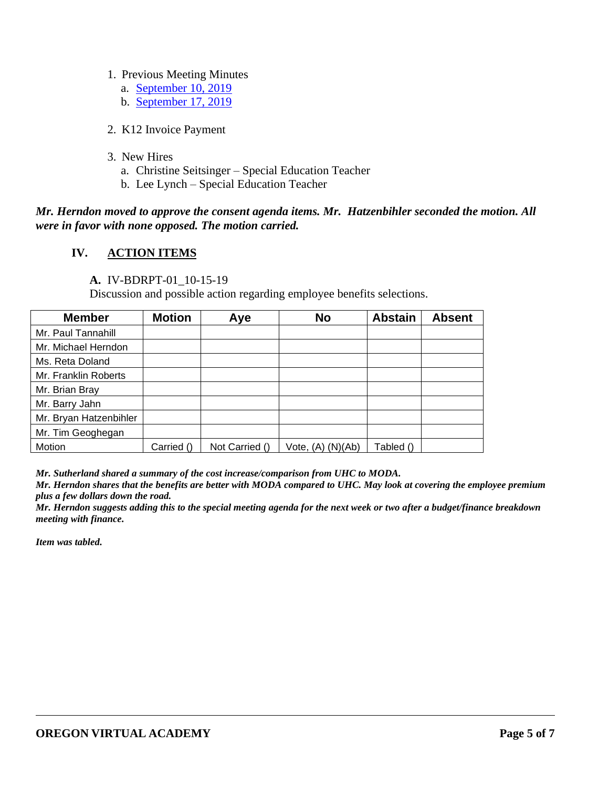### 1. Previous Meeting Minutes

- a. [September 10, 2019](https://k12inc-my.sharepoint.com/:b:/g/personal/mecaldwell_oregonva_org/EdMZvF958E9KgZ3qDAxjcTkBBomVAO2T1hHxUAtDn5m27A?e=yHu3P6)
- b. [September 17, 2019](https://k12inc-my.sharepoint.com/:b:/g/personal/mecaldwell_oregonva_org/ET8UDZEYQiJAo7M6qt3MzvcB-YN8gEiCpHsNPlb62uZMXQ?e=S6zXbt)
- 2. K12 Invoice Payment
- 3. New Hires
	- a. Christine Seitsinger Special Education Teacher
	- b. Lee Lynch Special Education Teacher

## *Mr. Herndon moved to approve the consent agenda items. Mr. Hatzenbihler seconded the motion. All were in favor with none opposed. The motion carried.*

### **IV. ACTION ITEMS**

### **A.** IV-BDRPT-01\_10-15-19

Discussion and possible action regarding employee benefits selections.

| <b>Member</b>          | <b>Motion</b> | Aye            | <b>No</b>         | <b>Abstain</b> | <b>Absent</b> |
|------------------------|---------------|----------------|-------------------|----------------|---------------|
| Mr. Paul Tannahill     |               |                |                   |                |               |
| Mr. Michael Herndon    |               |                |                   |                |               |
| Ms. Reta Doland        |               |                |                   |                |               |
| Mr. Franklin Roberts   |               |                |                   |                |               |
| Mr. Brian Bray         |               |                |                   |                |               |
| Mr. Barry Jahn         |               |                |                   |                |               |
| Mr. Bryan Hatzenbihler |               |                |                   |                |               |
| Mr. Tim Geoghegan      |               |                |                   |                |               |
| Motion                 | Carried ()    | Not Carried () | Vote, (A) (N)(Ab) | Tabled ()      |               |

*Mr. Sutherland shared a summary of the cost increase/comparison from UHC to MODA.* 

*Mr. Herndon shares that the benefits are better with MODA compared to UHC. May look at covering the employee premium plus a few dollars down the road.* 

*Mr. Herndon suggests adding this to the special meeting agenda for the next week or two after a budget/finance breakdown meeting with finance.*

*Item was tabled.*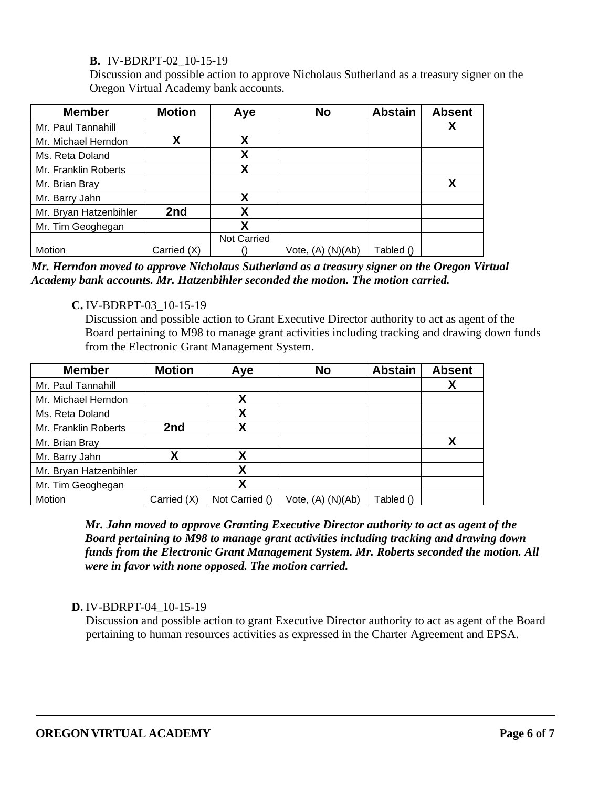# **B.** IV-BDRPT-02\_10-15-19

Discussion and possible action to approve Nicholaus Sutherland as a treasury signer on the Oregon Virtual Academy bank accounts.

| <b>Member</b>          | <b>Motion</b> | Aye                | <b>No</b>             | <b>Abstain</b> | <b>Absent</b> |
|------------------------|---------------|--------------------|-----------------------|----------------|---------------|
| Mr. Paul Tannahill     |               |                    |                       |                | X             |
| Mr. Michael Herndon    | Χ             | Χ                  |                       |                |               |
| Ms. Reta Doland        |               | Χ                  |                       |                |               |
| Mr. Franklin Roberts   |               | χ                  |                       |                |               |
| Mr. Brian Bray         |               |                    |                       |                | X             |
| Mr. Barry Jahn         |               | χ                  |                       |                |               |
| Mr. Bryan Hatzenbihler | 2nd           | χ                  |                       |                |               |
| Mr. Tim Geoghegan      |               | χ                  |                       |                |               |
|                        |               | <b>Not Carried</b> |                       |                |               |
| Motion                 | Carried (X)   |                    | Vote, $(A)$ $(N)(Ab)$ | Tabled ()      |               |

*Mr. Herndon moved to approve Nicholaus Sutherland as a treasury signer on the Oregon Virtual Academy bank accounts. Mr. Hatzenbihler seconded the motion. The motion carried.*

# **C.** IV-BDRPT-03\_10-15-19

Discussion and possible action to Grant Executive Director authority to act as agent of the Board pertaining to M98 to manage grant activities including tracking and drawing down funds from the Electronic Grant Management System.

| <b>Member</b>          | <b>Motion</b> | Aye            | <b>No</b>         | <b>Abstain</b> | <b>Absent</b> |
|------------------------|---------------|----------------|-------------------|----------------|---------------|
| Mr. Paul Tannahill     |               |                |                   |                | χ             |
| Mr. Michael Herndon    |               | χ              |                   |                |               |
| Ms. Reta Doland        |               | Χ              |                   |                |               |
| Mr. Franklin Roberts   | 2nd           | v              |                   |                |               |
| Mr. Brian Bray         |               |                |                   |                | X             |
| Mr. Barry Jahn         | Χ             | χ              |                   |                |               |
| Mr. Bryan Hatzenbihler |               | Χ              |                   |                |               |
| Mr. Tim Geoghegan      |               | X              |                   |                |               |
| Motion                 | Carried (X)   | Not Carried () | Vote, (A) (N)(Ab) | Tabled ()      |               |

*Mr. Jahn moved to approve Granting Executive Director authority to act as agent of the Board pertaining to M98 to manage grant activities including tracking and drawing down funds from the Electronic Grant Management System. Mr. Roberts seconded the motion. All were in favor with none opposed. The motion carried.* 

# **D.** IV-BDRPT-04\_10-15-19

Discussion and possible action to grant Executive Director authority to act as agent of the Board pertaining to human resources activities as expressed in the Charter Agreement and EPSA.